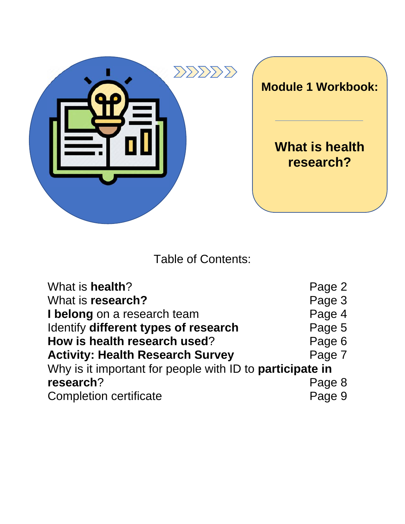

Table of Contents:

| What is health?                                                 | Page 2 |  |
|-----------------------------------------------------------------|--------|--|
| What is research?                                               | Page 3 |  |
| I belong on a research team                                     | Page 4 |  |
| Identify different types of research                            | Page 5 |  |
| How is health research used?                                    | Page 6 |  |
| <b>Activity: Health Research Survey</b>                         | Page 7 |  |
| Why is it important for people with ID to <b>participate in</b> |        |  |
| research?                                                       | Page 8 |  |
| <b>Completion certificate</b>                                   | Page 9 |  |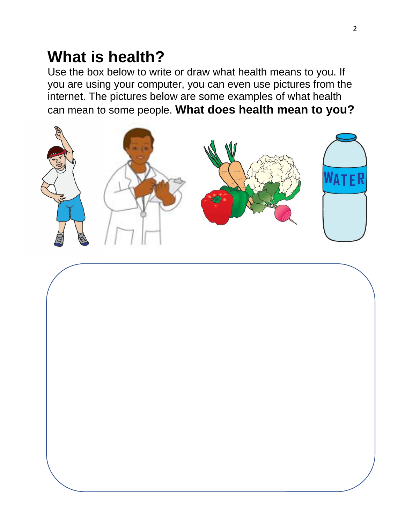#### **What is health?**

Use the box below to write or draw what health means to you. If you are using your computer, you can even use pictures from the internet. The pictures below are some examples of what health can mean to some people. **What does health mean to you?**



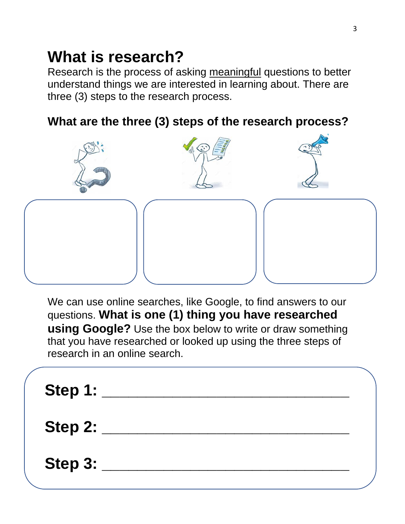## **What is research?**

Research is the process of asking meaningful questions to better understand things we are interested in learning about. There are three (3) steps to the research process.

#### **What are the three (3) steps of the research process?**



We can use online searches, like Google, to find answers to our questions. **What is one (1) thing you have researched using Google?** Use the box below to write or draw something that you have researched or looked up using the three steps of research in an online search.

| Step 1:          |  |
|------------------|--|
| <b>Step 2: _</b> |  |
| Step $3:$        |  |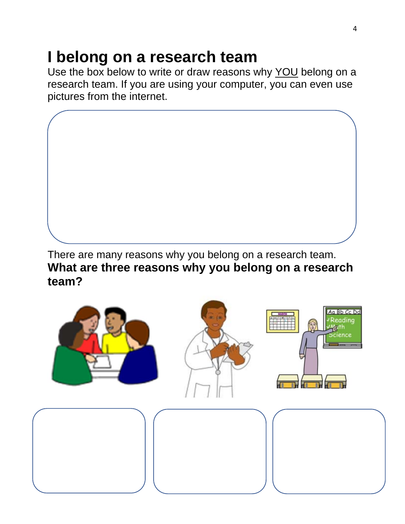## **I belong on a research team**

Use the box below to write or draw reasons why YOU belong on a research team. If you are using your computer, you can even use pictures from the internet.



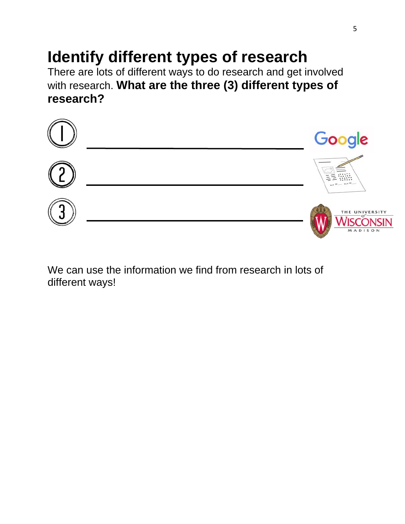## **Identify different types of research**

There are lots of different ways to do research and get involved with research. **What are the three (3) different types of research?** 



We can use the information we find from research in lots of different ways!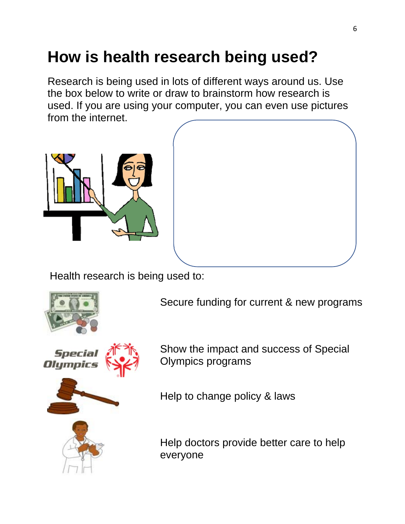# **How is health research being used?**

Research is being used in lots of different ways around us. Use the box below to write or draw to brainstorm how research is used. If you are using your computer, you can even use pictures from the internet.



Health research is being used to:



Secure funding for current & new programs



Show the impact and success of Special Olympics programs

Help to change policy & laws



Help doctors provide better care to help everyone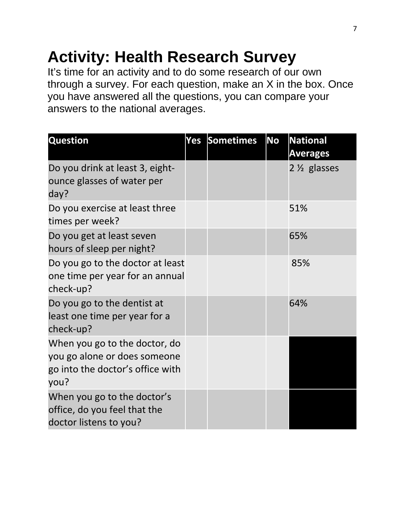## **Activity: Health Research Survey**

It's time for an activity and to do some research of our own through a survey. For each question, make an X in the box. Once you have answered all the questions, you can compare your answers to the national averages.

| <b>Question</b>                                                                                           | Yes | Sometimes | <b>No</b> | <b>National</b><br><b>Averages</b> |
|-----------------------------------------------------------------------------------------------------------|-----|-----------|-----------|------------------------------------|
| Do you drink at least 3, eight-<br>ounce glasses of water per<br>day?                                     |     |           |           | $2\frac{1}{2}$ glasses             |
| Do you exercise at least three<br>times per week?                                                         |     |           |           | 51%                                |
| Do you get at least seven<br>hours of sleep per night?                                                    |     |           |           | 65%                                |
| Do you go to the doctor at least<br>one time per year for an annual<br>check-up?                          |     |           |           | 85%                                |
| Do you go to the dentist at<br>least one time per year for a<br>check-up?                                 |     |           |           | 64%                                |
| When you go to the doctor, do<br>you go alone or does someone<br>go into the doctor's office with<br>you? |     |           |           |                                    |
| When you go to the doctor's<br>office, do you feel that the<br>doctor listens to you?                     |     |           |           |                                    |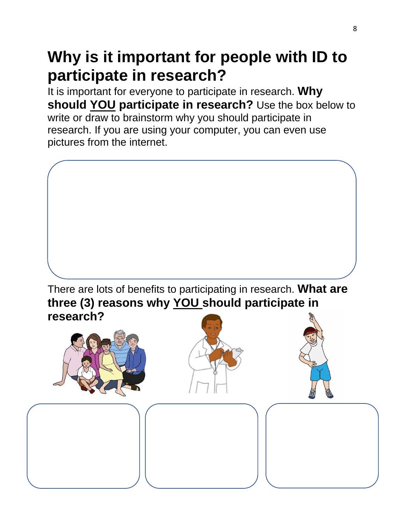## **Why is it important for people with ID to participate in research?**

It is important for everyone to participate in research. **Why should YOU participate in research?** Use the box below to write or draw to brainstorm why you should participate in research. If you are using your computer, you can even use pictures from the internet.